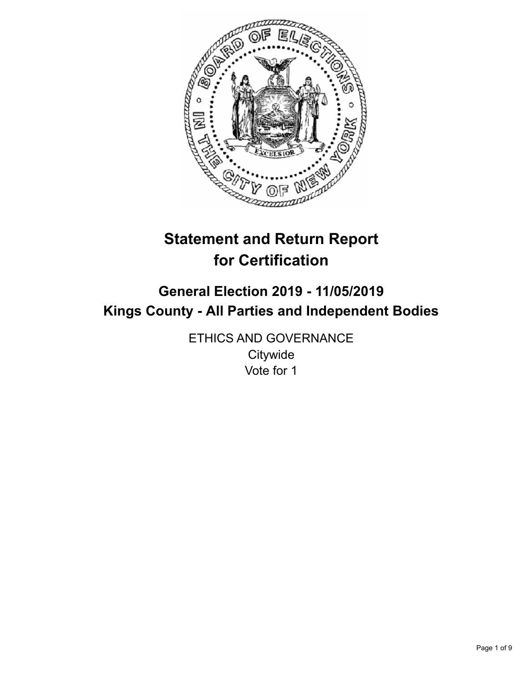

# **Statement and Return Report for Certification**

# **General Election 2019 - 11/05/2019 Kings County - All Parties and Independent Bodies**

ETHICS AND GOVERNANCE **Citywide** Vote for 1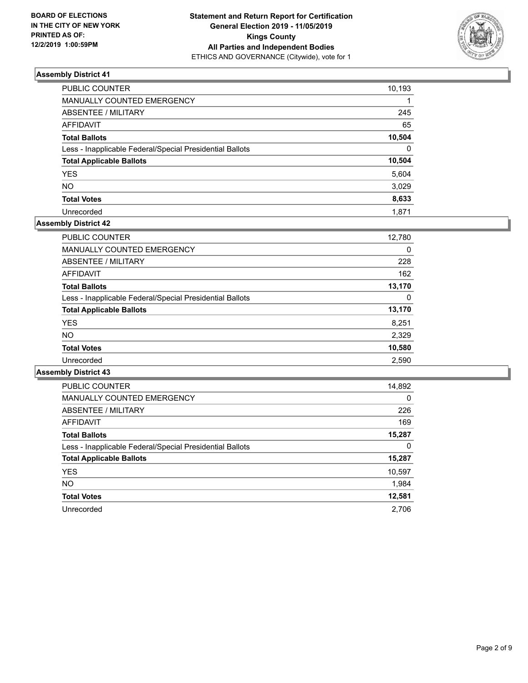

| PUBLIC COUNTER                                           | 10,193   |
|----------------------------------------------------------|----------|
| MANUALLY COUNTED EMERGENCY                               |          |
| ABSENTEE / MILITARY                                      | 245      |
| <b>AFFIDAVIT</b>                                         | 65       |
| <b>Total Ballots</b>                                     | 10,504   |
| Less - Inapplicable Federal/Special Presidential Ballots | $\Omega$ |
| <b>Total Applicable Ballots</b>                          | 10,504   |
| <b>YES</b>                                               | 5,604    |
| <b>NO</b>                                                | 3,029    |
| <b>Total Votes</b>                                       | 8,633    |
| Unrecorded                                               | 1.871    |

# **Assembly District 42**

| <b>PUBLIC COUNTER</b>                                    | 12,780 |
|----------------------------------------------------------|--------|
| <b>MANUALLY COUNTED EMERGENCY</b>                        | 0      |
| ABSENTEE / MILITARY                                      | 228    |
| AFFIDAVIT                                                | 162    |
| <b>Total Ballots</b>                                     | 13,170 |
| Less - Inapplicable Federal/Special Presidential Ballots | 0      |
| <b>Total Applicable Ballots</b>                          | 13,170 |
| <b>YES</b>                                               | 8,251  |
| NO.                                                      | 2,329  |
| <b>Total Votes</b>                                       | 10,580 |
| Unrecorded                                               | 2,590  |

| <b>PUBLIC COUNTER</b>                                    | 14,892   |
|----------------------------------------------------------|----------|
| <b>MANUALLY COUNTED EMERGENCY</b>                        | $\Omega$ |
| ABSENTEE / MILITARY                                      | 226      |
| <b>AFFIDAVIT</b>                                         | 169      |
| <b>Total Ballots</b>                                     | 15,287   |
| Less - Inapplicable Federal/Special Presidential Ballots | 0        |
| <b>Total Applicable Ballots</b>                          | 15,287   |
| <b>YES</b>                                               | 10,597   |
| <b>NO</b>                                                | 1,984    |
| <b>Total Votes</b>                                       | 12,581   |
| Unrecorded                                               | 2.706    |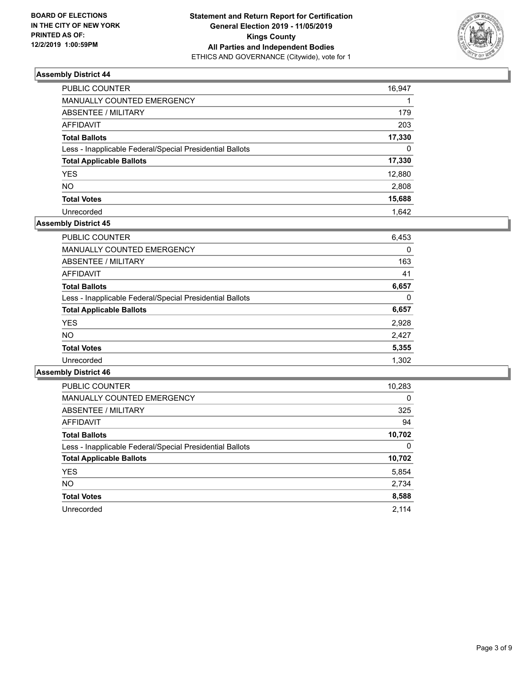

| <b>PUBLIC COUNTER</b>                                    | 16,947   |
|----------------------------------------------------------|----------|
| MANUALLY COUNTED EMERGENCY                               |          |
| <b>ABSENTEE / MILITARY</b>                               | 179      |
| <b>AFFIDAVIT</b>                                         | 203      |
| <b>Total Ballots</b>                                     | 17,330   |
| Less - Inapplicable Federal/Special Presidential Ballots | $\Omega$ |
| <b>Total Applicable Ballots</b>                          | 17,330   |
| <b>YES</b>                                               | 12,880   |
| <b>NO</b>                                                | 2,808    |
| <b>Total Votes</b>                                       | 15,688   |
| Unrecorded                                               | 1.642    |

# **Assembly District 45**

| <b>PUBLIC COUNTER</b>                                    | 10,283   |
|----------------------------------------------------------|----------|
| <b>MANUALLY COUNTED EMERGENCY</b>                        | $\Omega$ |
| ABSENTEE / MILITARY                                      | 325      |
| <b>AFFIDAVIT</b>                                         | 94       |
| <b>Total Ballots</b>                                     | 10,702   |
| Less - Inapplicable Federal/Special Presidential Ballots | 0        |
| <b>Total Applicable Ballots</b>                          | 10,702   |
| <b>YES</b>                                               | 5,854    |
| NO.                                                      | 2,734    |
| <b>Total Votes</b>                                       | 8,588    |
| Unrecorded                                               | 2.114    |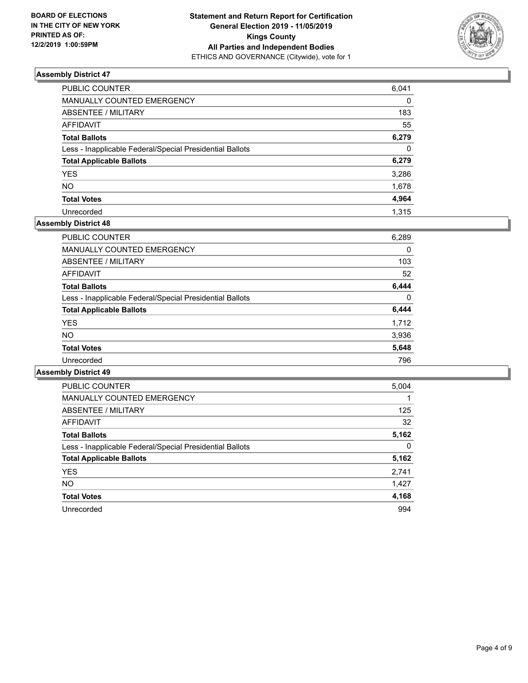

| PUBLIC COUNTER                                           | 6,041    |
|----------------------------------------------------------|----------|
| <b>MANUALLY COUNTED EMERGENCY</b>                        | $\Omega$ |
| <b>ABSENTEE / MILITARY</b>                               | 183      |
| <b>AFFIDAVIT</b>                                         | 55       |
| <b>Total Ballots</b>                                     | 6,279    |
| Less - Inapplicable Federal/Special Presidential Ballots | $\Omega$ |
| <b>Total Applicable Ballots</b>                          | 6,279    |
| <b>YES</b>                                               | 3,286    |
| <b>NO</b>                                                | 1,678    |
| <b>Total Votes</b>                                       | 4,964    |
| Unrecorded                                               | 1.315    |

# **Assembly District 48**

| <b>PUBLIC COUNTER</b>                                    | 6,289    |
|----------------------------------------------------------|----------|
| <b>MANUALLY COUNTED EMERGENCY</b>                        | 0        |
| ABSENTEE / MILITARY                                      | 103      |
| <b>AFFIDAVIT</b>                                         | 52       |
| <b>Total Ballots</b>                                     | 6,444    |
| Less - Inapplicable Federal/Special Presidential Ballots | $\Omega$ |
| <b>Total Applicable Ballots</b>                          | 6,444    |
| <b>YES</b>                                               | 1,712    |
| <b>NO</b>                                                | 3,936    |
| <b>Total Votes</b>                                       | 5,648    |
| Unrecorded                                               | 796      |

| PUBLIC COUNTER                                           | 5,004    |
|----------------------------------------------------------|----------|
| <b>MANUALLY COUNTED EMERGENCY</b>                        |          |
| ABSENTEE / MILITARY                                      | 125      |
| AFFIDAVIT                                                | 32       |
| <b>Total Ballots</b>                                     | 5,162    |
| Less - Inapplicable Federal/Special Presidential Ballots | $\Omega$ |
| <b>Total Applicable Ballots</b>                          | 5,162    |
| <b>YES</b>                                               | 2,741    |
| NO.                                                      | 1,427    |
| <b>Total Votes</b>                                       | 4,168    |
| Unrecorded                                               | 994      |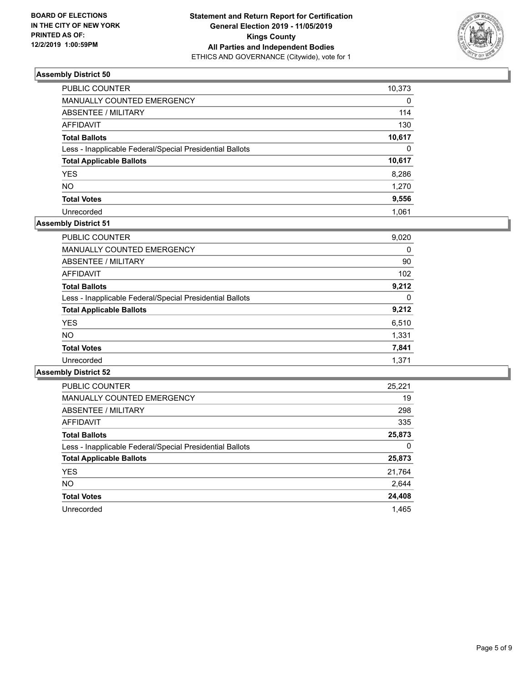

| PUBLIC COUNTER                                           | 10,373   |
|----------------------------------------------------------|----------|
| MANUALLY COUNTED EMERGENCY                               | 0        |
| ABSENTEE / MILITARY                                      | 114      |
| AFFIDAVIT                                                | 130      |
| <b>Total Ballots</b>                                     | 10,617   |
| Less - Inapplicable Federal/Special Presidential Ballots | $\Omega$ |
| <b>Total Applicable Ballots</b>                          | 10,617   |
| YES                                                      | 8,286    |
| NO                                                       | 1,270    |
| <b>Total Votes</b>                                       | 9,556    |
| Unrecorded                                               | 1.061    |

# **Assembly District 51**

| <b>PUBLIC COUNTER</b>                                    | 9,020    |
|----------------------------------------------------------|----------|
| <b>MANUALLY COUNTED EMERGENCY</b>                        | 0        |
| ABSENTEE / MILITARY                                      | 90       |
| <b>AFFIDAVIT</b>                                         | 102      |
| <b>Total Ballots</b>                                     | 9,212    |
| Less - Inapplicable Federal/Special Presidential Ballots | $\Omega$ |
| <b>Total Applicable Ballots</b>                          | 9,212    |
| <b>YES</b>                                               | 6,510    |
| <b>NO</b>                                                | 1,331    |
| <b>Total Votes</b>                                       | 7,841    |
| Unrecorded                                               | 1.371    |
|                                                          |          |

| <b>PUBLIC COUNTER</b>                                    | 25.221 |
|----------------------------------------------------------|--------|
| <b>MANUALLY COUNTED EMERGENCY</b>                        | 19     |
| ABSENTEE / MILITARY                                      | 298    |
| <b>AFFIDAVIT</b>                                         | 335    |
| <b>Total Ballots</b>                                     | 25,873 |
| Less - Inapplicable Federal/Special Presidential Ballots | 0      |
| <b>Total Applicable Ballots</b>                          | 25,873 |
| <b>YES</b>                                               | 21,764 |
| NO.                                                      | 2,644  |
| <b>Total Votes</b>                                       | 24,408 |
| Unrecorded                                               | 1.465  |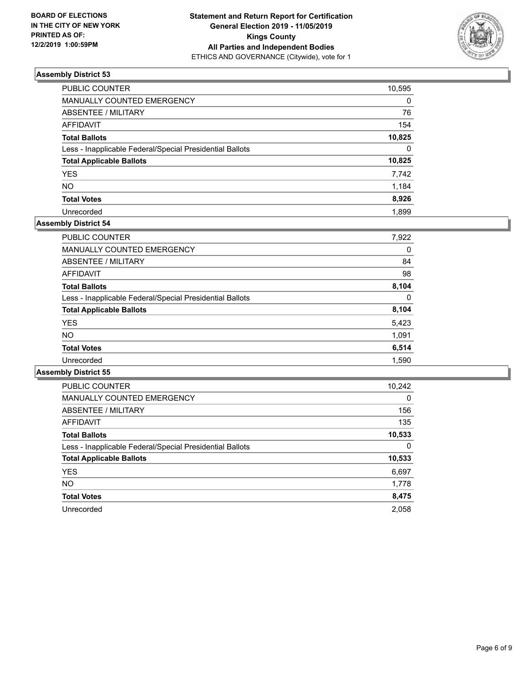

| PUBLIC COUNTER                                           | 10,595   |
|----------------------------------------------------------|----------|
| <b>MANUALLY COUNTED EMERGENCY</b>                        | $\Omega$ |
| ABSENTEE / MILITARY                                      | 76       |
| <b>AFFIDAVIT</b>                                         | 154      |
| <b>Total Ballots</b>                                     | 10,825   |
| Less - Inapplicable Federal/Special Presidential Ballots | $\Omega$ |
| <b>Total Applicable Ballots</b>                          | 10,825   |
| YES                                                      | 7,742    |
| NO                                                       | 1,184    |
| <b>Total Votes</b>                                       | 8,926    |
| Unrecorded                                               | 1.899    |

# **Assembly District 54**

| 7,922 |
|-------|
| 0     |
| 84    |
| 98    |
| 8.104 |
| 0     |
| 8,104 |
| 5,423 |
| 1,091 |
| 6,514 |
| 1,590 |
|       |

| <b>PUBLIC COUNTER</b>                                    | 10,242   |
|----------------------------------------------------------|----------|
| <b>MANUALLY COUNTED EMERGENCY</b>                        | $\Omega$ |
| ABSENTEE / MILITARY                                      | 156      |
| <b>AFFIDAVIT</b>                                         | 135      |
| <b>Total Ballots</b>                                     | 10,533   |
| Less - Inapplicable Federal/Special Presidential Ballots | 0        |
| <b>Total Applicable Ballots</b>                          | 10,533   |
| <b>YES</b>                                               | 6,697    |
| NO.                                                      | 1,778    |
| <b>Total Votes</b>                                       | 8,475    |
| Unrecorded                                               | 2.058    |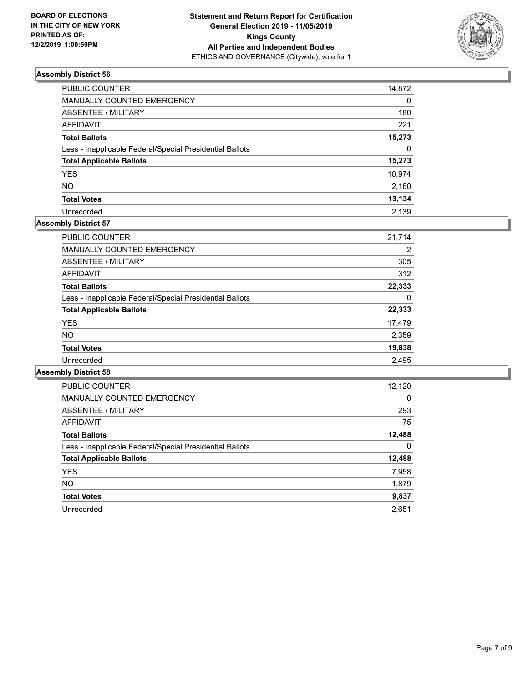

| PUBLIC COUNTER                                           | 14,872   |
|----------------------------------------------------------|----------|
| MANUALLY COUNTED EMERGENCY                               | 0        |
| <b>ABSENTEE / MILITARY</b>                               | 180      |
| <b>AFFIDAVIT</b>                                         | 221      |
| <b>Total Ballots</b>                                     | 15,273   |
| Less - Inapplicable Federal/Special Presidential Ballots | $\Omega$ |
| <b>Total Applicable Ballots</b>                          | 15,273   |
| <b>YES</b>                                               | 10,974   |
| <b>NO</b>                                                | 2,160    |
| <b>Total Votes</b>                                       | 13,134   |
| Unrecorded                                               | 2.139    |

# **Assembly District 57**

| <b>PUBLIC COUNTER</b>                                    | 21.714 |
|----------------------------------------------------------|--------|
| <b>MANUALLY COUNTED EMERGENCY</b>                        | 2      |
| ABSENTEE / MILITARY                                      | 305    |
| AFFIDAVIT                                                | 312    |
| <b>Total Ballots</b>                                     | 22,333 |
| Less - Inapplicable Federal/Special Presidential Ballots | 0      |
| <b>Total Applicable Ballots</b>                          | 22,333 |
| <b>YES</b>                                               | 17,479 |
| NO.                                                      | 2,359  |
| <b>Total Votes</b>                                       | 19,838 |
| Unrecorded                                               | 2.495  |

| <b>PUBLIC COUNTER</b>                                    | 12,120   |
|----------------------------------------------------------|----------|
| <b>MANUALLY COUNTED EMERGENCY</b>                        | $\Omega$ |
| ABSENTEE / MILITARY                                      | 293      |
| AFFIDAVIT                                                | 75       |
| <b>Total Ballots</b>                                     | 12,488   |
| Less - Inapplicable Federal/Special Presidential Ballots | 0        |
| <b>Total Applicable Ballots</b>                          | 12,488   |
| <b>YES</b>                                               | 7,958    |
| NO.                                                      | 1,879    |
| <b>Total Votes</b>                                       | 9,837    |
| Unrecorded                                               | 2.651    |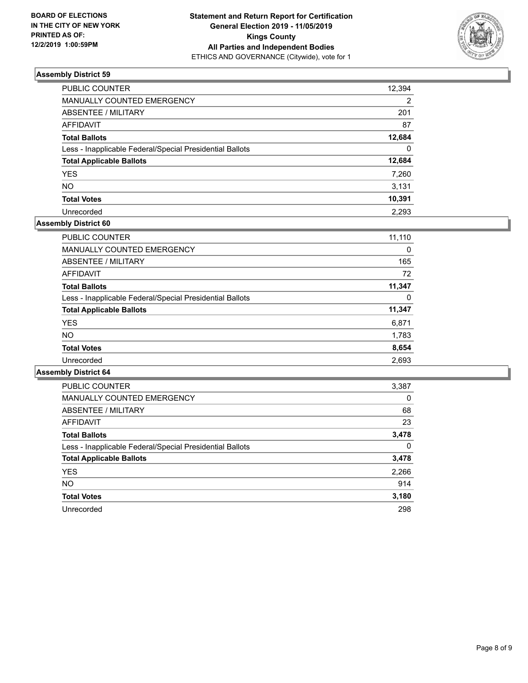

| PUBLIC COUNTER                                           | 12,394   |
|----------------------------------------------------------|----------|
| MANUALLY COUNTED EMERGENCY                               | 2        |
| ABSENTEE / MILITARY                                      | 201      |
| AFFIDAVIT                                                | 87       |
| <b>Total Ballots</b>                                     | 12,684   |
| Less - Inapplicable Federal/Special Presidential Ballots | $\Omega$ |
| <b>Total Applicable Ballots</b>                          | 12,684   |
| YES                                                      | 7,260    |
| NO                                                       | 3,131    |
| <b>Total Votes</b>                                       | 10,391   |
| Unrecorded                                               | 2.293    |

# **Assembly District 60**

| <b>PUBLIC COUNTER</b>                                    | 11,110 |
|----------------------------------------------------------|--------|
| <b>MANUALLY COUNTED EMERGENCY</b>                        | 0      |
| ABSENTEE / MILITARY                                      | 165    |
| <b>AFFIDAVIT</b>                                         | 72     |
| <b>Total Ballots</b>                                     | 11,347 |
| Less - Inapplicable Federal/Special Presidential Ballots | 0      |
| <b>Total Applicable Ballots</b>                          | 11,347 |
| <b>YES</b>                                               | 6,871  |
| NO.                                                      | 1,783  |
| <b>Total Votes</b>                                       | 8,654  |
| Unrecorded                                               | 2,693  |

| <b>PUBLIC COUNTER</b>                                    | 3,387    |
|----------------------------------------------------------|----------|
| <b>MANUALLY COUNTED EMERGENCY</b>                        | $\Omega$ |
| ABSENTEE / MILITARY                                      | 68       |
| AFFIDAVIT                                                | 23       |
| <b>Total Ballots</b>                                     | 3,478    |
| Less - Inapplicable Federal/Special Presidential Ballots | 0        |
| <b>Total Applicable Ballots</b>                          | 3,478    |
| <b>YES</b>                                               | 2,266    |
| NO.                                                      | 914      |
| <b>Total Votes</b>                                       | 3,180    |
| Unrecorded                                               | 298      |